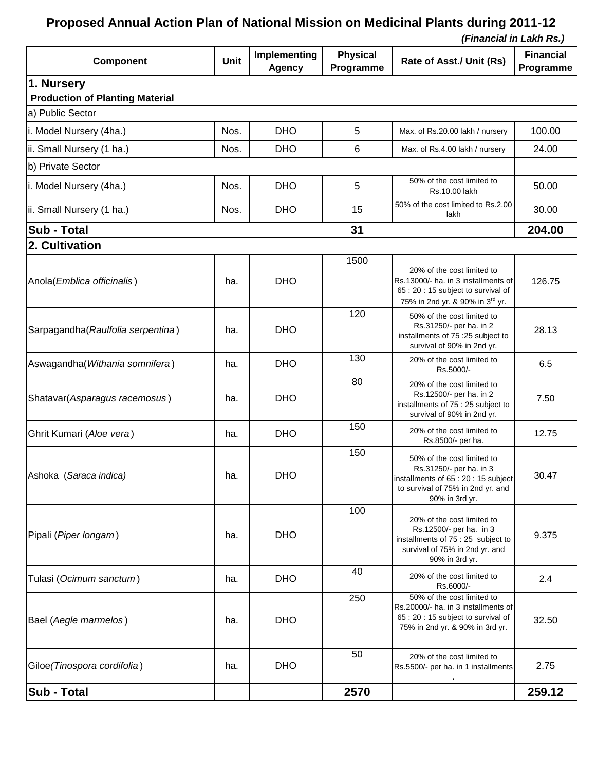## **Proposed Annual Action Plan of National Mission on Medicinal Plants during 2011-12**

 *(Financial in Lakh Rs.)*

| Component                              | <b>Unit</b> | Implementing<br><b>Agency</b> | <b>Physical</b><br>Programme | Rate of Asst./ Unit (Rs)                                                                                                                                | <b>Financial</b><br>Programme |  |  |  |  |
|----------------------------------------|-------------|-------------------------------|------------------------------|---------------------------------------------------------------------------------------------------------------------------------------------------------|-------------------------------|--|--|--|--|
| 1. Nursery                             |             |                               |                              |                                                                                                                                                         |                               |  |  |  |  |
| <b>Production of Planting Material</b> |             |                               |                              |                                                                                                                                                         |                               |  |  |  |  |
| a) Public Sector                       |             |                               |                              |                                                                                                                                                         |                               |  |  |  |  |
| i. Model Nursery (4ha.)                | Nos.        | <b>DHO</b>                    | 5                            | Max. of Rs.20.00 lakh / nursery                                                                                                                         | 100.00                        |  |  |  |  |
| ii. Small Nursery (1 ha.)              | Nos.        | <b>DHO</b>                    | 6                            | Max. of Rs.4.00 lakh / nursery                                                                                                                          | 24.00                         |  |  |  |  |
| b) Private Sector                      |             |                               |                              |                                                                                                                                                         |                               |  |  |  |  |
| i. Model Nursery (4ha.)                | Nos.        | <b>DHO</b>                    | 5                            | 50% of the cost limited to<br>Rs.10.00 lakh                                                                                                             | 50.00                         |  |  |  |  |
| ii. Small Nursery (1 ha.)              | Nos.        | <b>DHO</b>                    | 15                           | 50% of the cost limited to Rs.2.00<br>lakh                                                                                                              | 30.00                         |  |  |  |  |
| <b>Sub - Total</b><br>31               |             |                               |                              |                                                                                                                                                         |                               |  |  |  |  |
| 2. Cultivation                         |             |                               |                              |                                                                                                                                                         |                               |  |  |  |  |
| Anola(Emblica officinalis)             | ha.         | <b>DHO</b>                    | 1500                         | 20% of the cost limited to<br>Rs.13000/- ha. in 3 installments of<br>65 : 20 : 15 subject to survival of<br>75% in 2nd yr. & 90% in 3 <sup>rd</sup> yr. | 126.75                        |  |  |  |  |
| Sarpagandha (Raulfolia serpentina)     | ha.         | <b>DHO</b>                    | 120                          | 50% of the cost limited to<br>Rs.31250/- per ha. in 2<br>installments of 75 :25 subject to<br>survival of 90% in 2nd yr.                                | 28.13                         |  |  |  |  |
| Aswagandha (Withania somnifera)        | ha.         | <b>DHO</b>                    | 130                          | 20% of the cost limited to<br>Rs.5000/-                                                                                                                 | 6.5                           |  |  |  |  |
| Shatavar(Asparagus racemosus)          | ha.         | <b>DHO</b>                    | 80                           | 20% of the cost limited to<br>Rs.12500/- per ha. in 2<br>installments of 75 : 25 subject to<br>survival of 90% in 2nd yr.                               | 7.50                          |  |  |  |  |
| Ghrit Kumari (Aloe vera)               | ha.         | <b>DHO</b>                    | 150                          | 20% of the cost limited to<br>Rs.8500/- per ha.                                                                                                         | 12.75                         |  |  |  |  |
| Ashoka (Saraca indica)                 | ha.         | <b>DHO</b>                    | 150                          | 50% of the cost limited to<br>Rs.31250/- per ha. in 3<br>installments of 65:20:15 subject<br>to survival of 75% in 2nd yr. and<br>90% in 3rd yr.        | 30.47                         |  |  |  |  |
| Pipali (Piper longam)                  | ha.         | <b>DHO</b>                    | 100                          | 20% of the cost limited to<br>Rs.12500/- per ha. in 3<br>installments of 75 : 25 subject to<br>survival of 75% in 2nd yr. and<br>90% in 3rd yr.         | 9.375                         |  |  |  |  |
| Tulasi (Ocimum sanctum)                | ha.         | <b>DHO</b>                    | 40                           | 20% of the cost limited to<br>Rs.6000/-                                                                                                                 | 2.4                           |  |  |  |  |
| Bael (Aegle marmelos)                  | ha.         | <b>DHO</b>                    | 250                          | 50% of the cost limited to<br>Rs.20000/- ha. in 3 installments of<br>65:20:15 subject to survival of<br>75% in 2nd yr. & 90% in 3rd yr.                 | 32.50                         |  |  |  |  |
| Giloe (Tinospora cordifolia)           | ha.         | <b>DHO</b>                    | 50                           | 20% of the cost limited to<br>Rs.5500/- per ha. in 1 installments                                                                                       | 2.75                          |  |  |  |  |
| <b>Sub - Total</b>                     |             |                               | 2570                         |                                                                                                                                                         | 259.12                        |  |  |  |  |